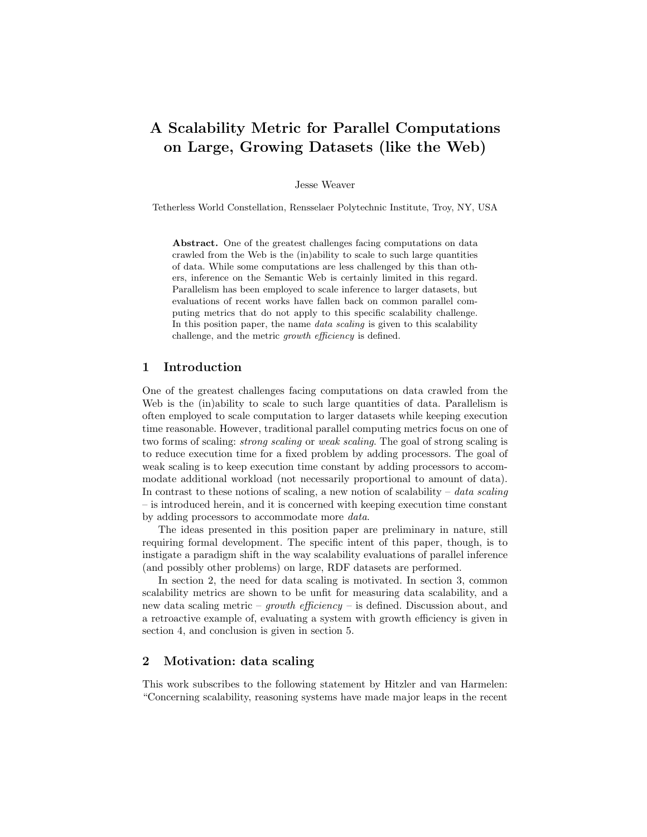# A Scalability Metric for Parallel Computations on Large, Growing Datasets (like the Web)

Jesse Weaver

Tetherless World Constellation, Rensselaer Polytechnic Institute, Troy, NY, USA

Abstract. One of the greatest challenges facing computations on data crawled from the Web is the (in)ability to scale to such large quantities of data. While some computations are less challenged by this than others, inference on the Semantic Web is certainly limited in this regard. Parallelism has been employed to scale inference to larger datasets, but evaluations of recent works have fallen back on common parallel computing metrics that do not apply to this specific scalability challenge. In this position paper, the name *data scaling* is given to this scalability challenge, and the metric growth efficiency is defined.

#### 1 Introduction

One of the greatest challenges facing computations on data crawled from the Web is the (in)ability to scale to such large quantities of data. Parallelism is often employed to scale computation to larger datasets while keeping execution time reasonable. However, traditional parallel computing metrics focus on one of two forms of scaling: strong scaling or weak scaling. The goal of strong scaling is to reduce execution time for a fixed problem by adding processors. The goal of weak scaling is to keep execution time constant by adding processors to accommodate additional workload (not necessarily proportional to amount of data). In contrast to these notions of scaling, a new notion of scalability – data scaling – is introduced herein, and it is concerned with keeping execution time constant by adding processors to accommodate more data.

The ideas presented in this position paper are preliminary in nature, still requiring formal development. The specific intent of this paper, though, is to instigate a paradigm shift in the way scalability evaluations of parallel inference (and possibly other problems) on large, RDF datasets are performed.

In section 2, the need for data scaling is motivated. In section 3, common scalability metrics are shown to be unfit for measuring data scalability, and a new data scaling metric – growth efficiency – is defined. Discussion about, and a retroactive example of, evaluating a system with growth efficiency is given in section 4, and conclusion is given in section 5.

## 2 Motivation: data scaling

This work subscribes to the following statement by Hitzler and van Harmelen: "Concerning scalability, reasoning systems have made major leaps in the recent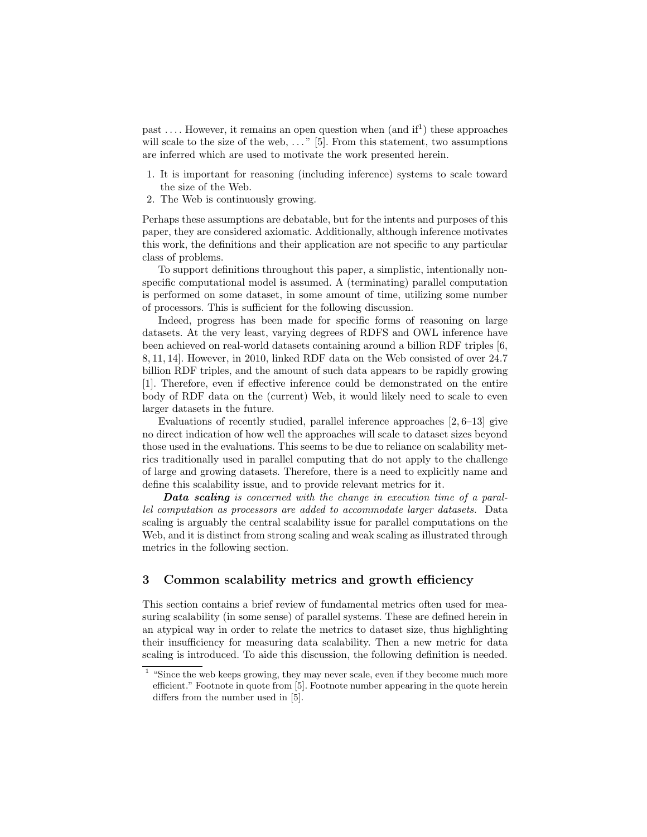past .... However, it remains an open question when (and if<sup>1</sup>) these approaches will scale to the size of the web, ..." [5]. From this statement, two assumptions are inferred which are used to motivate the work presented herein.

- 1. It is important for reasoning (including inference) systems to scale toward the size of the Web.
- 2. The Web is continuously growing.

Perhaps these assumptions are debatable, but for the intents and purposes of this paper, they are considered axiomatic. Additionally, although inference motivates this work, the definitions and their application are not specific to any particular class of problems.

To support definitions throughout this paper, a simplistic, intentionally nonspecific computational model is assumed. A (terminating) parallel computation is performed on some dataset, in some amount of time, utilizing some number of processors. This is sufficient for the following discussion.

Indeed, progress has been made for specific forms of reasoning on large datasets. At the very least, varying degrees of RDFS and OWL inference have been achieved on real-world datasets containing around a billion RDF triples [6, 8, 11, 14]. However, in 2010, linked RDF data on the Web consisted of over 24.7 billion RDF triples, and the amount of such data appears to be rapidly growing [1]. Therefore, even if effective inference could be demonstrated on the entire body of RDF data on the (current) Web, it would likely need to scale to even larger datasets in the future.

Evaluations of recently studied, parallel inference approaches  $[2, 6-13]$  give no direct indication of how well the approaches will scale to dataset sizes beyond those used in the evaluations. This seems to be due to reliance on scalability metrics traditionally used in parallel computing that do not apply to the challenge of large and growing datasets. Therefore, there is a need to explicitly name and define this scalability issue, and to provide relevant metrics for it.

Data scaling is concerned with the change in execution time of a parallel computation as processors are added to accommodate larger datasets. Data scaling is arguably the central scalability issue for parallel computations on the Web, and it is distinct from strong scaling and weak scaling as illustrated through metrics in the following section.

## 3 Common scalability metrics and growth efficiency

This section contains a brief review of fundamental metrics often used for measuring scalability (in some sense) of parallel systems. These are defined herein in an atypical way in order to relate the metrics to dataset size, thus highlighting their insufficiency for measuring data scalability. Then a new metric for data scaling is introduced. To aide this discussion, the following definition is needed.

<sup>&</sup>lt;sup>1</sup> "Since the web keeps growing, they may never scale, even if they become much more efficient." Footnote in quote from [5]. Footnote number appearing in the quote herein differs from the number used in [5].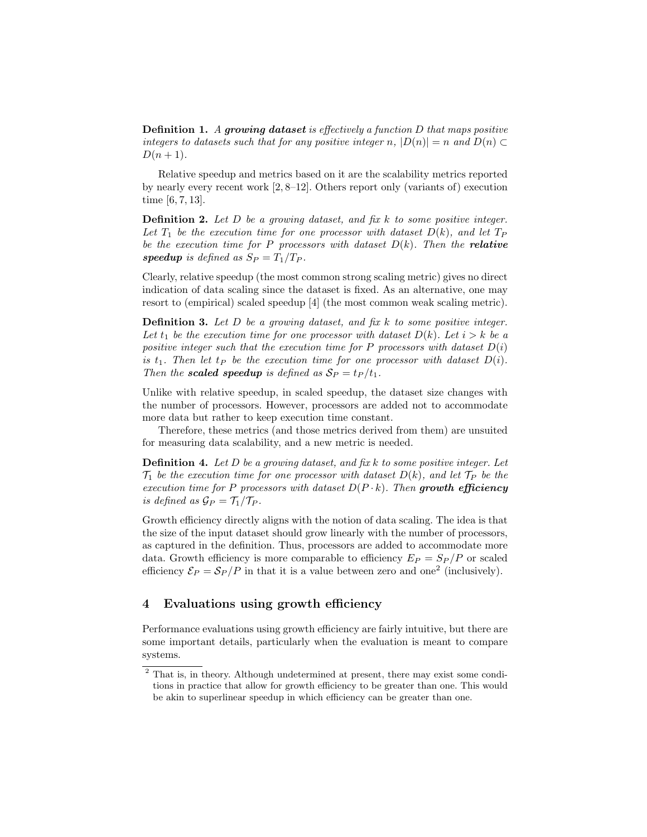**Definition 1.** A growing dataset is effectively a function D that maps positive integers to datasets such that for any positive integer n,  $|D(n)| = n$  and  $D(n) \subset$  $D(n+1)$ .

Relative speedup and metrics based on it are the scalability metrics reported by nearly every recent work [2, 8–12]. Others report only (variants of) execution time [6, 7, 13].

**Definition 2.** Let  $D$  be a growing dataset, and fix  $k$  to some positive integer. Let  $T_1$  be the execution time for one processor with dataset  $D(k)$ , and let  $T_P$ be the execution time for P processors with dataset  $D(k)$ . Then the **relative** speedup is defined as  $S_P = T_1/T_P$ .

Clearly, relative speedup (the most common strong scaling metric) gives no direct indication of data scaling since the dataset is fixed. As an alternative, one may resort to (empirical) scaled speedup [4] (the most common weak scaling metric).

**Definition 3.** Let  $D$  be a growing dataset, and fix  $k$  to some positive integer. Let  $t_1$  be the execution time for one processor with dataset  $D(k)$ . Let  $i > k$  be a positive integer such that the execution time for P processors with dataset  $D(i)$ is  $t_1$ . Then let  $t_P$  be the execution time for one processor with dataset  $D(i)$ . Then the **scaled speedup** is defined as  $S_P = t_P / t_1$ .

Unlike with relative speedup, in scaled speedup, the dataset size changes with the number of processors. However, processors are added not to accommodate more data but rather to keep execution time constant.

Therefore, these metrics (and those metrics derived from them) are unsuited for measuring data scalability, and a new metric is needed.

**Definition 4.** Let D be a growing dataset, and fix k to some positive integer. Let  $\mathcal{T}_1$  be the execution time for one processor with dataset  $D(k)$ , and let  $\mathcal{T}_P$  be the execution time for P processors with dataset  $D(P \cdot k)$ . Then growth efficiency is defined as  $\mathcal{G}_P = \mathcal{T}_1/\mathcal{T}_P$ .

Growth efficiency directly aligns with the notion of data scaling. The idea is that the size of the input dataset should grow linearly with the number of processors, as captured in the definition. Thus, processors are added to accommodate more data. Growth efficiency is more comparable to efficiency  $E_P = S_P/P$  or scaled efficiency  $\mathcal{E}_P = \mathcal{S}_P/P$  in that it is a value between zero and one<sup>2</sup> (inclusively).

# 4 Evaluations using growth efficiency

Performance evaluations using growth efficiency are fairly intuitive, but there are some important details, particularly when the evaluation is meant to compare systems.

<sup>&</sup>lt;sup>2</sup> That is, in theory. Although undetermined at present, there may exist some conditions in practice that allow for growth efficiency to be greater than one. This would be akin to superlinear speedup in which efficiency can be greater than one.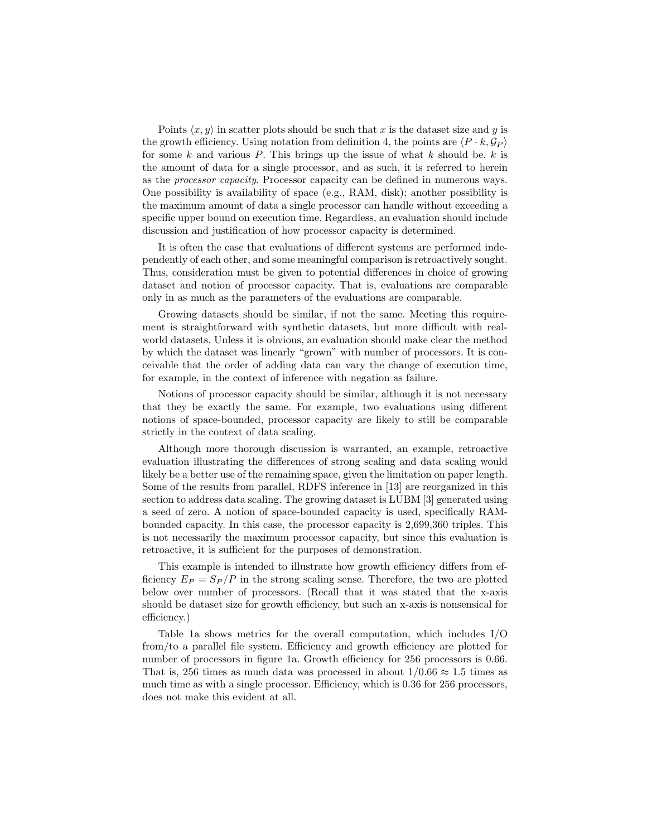Points  $\langle x, y \rangle$  in scatter plots should be such that x is the dataset size and y is the growth efficiency. Using notation from definition 4, the points are  $\langle P \cdot k, \mathcal{G}_P \rangle$ for some k and various P. This brings up the issue of what k should be.  $k$  is the amount of data for a single processor, and as such, it is referred to herein as the processor capacity. Processor capacity can be defined in numerous ways. One possibility is availability of space (e.g., RAM, disk); another possibility is the maximum amount of data a single processor can handle without exceeding a specific upper bound on execution time. Regardless, an evaluation should include discussion and justification of how processor capacity is determined.

It is often the case that evaluations of different systems are performed independently of each other, and some meaningful comparison is retroactively sought. Thus, consideration must be given to potential differences in choice of growing dataset and notion of processor capacity. That is, evaluations are comparable only in as much as the parameters of the evaluations are comparable.

Growing datasets should be similar, if not the same. Meeting this requirement is straightforward with synthetic datasets, but more difficult with realworld datasets. Unless it is obvious, an evaluation should make clear the method by which the dataset was linearly "grown" with number of processors. It is conceivable that the order of adding data can vary the change of execution time, for example, in the context of inference with negation as failure.

Notions of processor capacity should be similar, although it is not necessary that they be exactly the same. For example, two evaluations using different notions of space-bounded, processor capacity are likely to still be comparable strictly in the context of data scaling.

Although more thorough discussion is warranted, an example, retroactive evaluation illustrating the differences of strong scaling and data scaling would likely be a better use of the remaining space, given the limitation on paper length. Some of the results from parallel, RDFS inference in [13] are reorganized in this section to address data scaling. The growing dataset is LUBM [3] generated using a seed of zero. A notion of space-bounded capacity is used, specifically RAMbounded capacity. In this case, the processor capacity is 2,699,360 triples. This is not necessarily the maximum processor capacity, but since this evaluation is retroactive, it is sufficient for the purposes of demonstration.

This example is intended to illustrate how growth efficiency differs from efficiency  $E_P = S_P/P$  in the strong scaling sense. Therefore, the two are plotted below over number of processors. (Recall that it was stated that the x-axis should be dataset size for growth efficiency, but such an x-axis is nonsensical for efficiency.)

Table 1a shows metrics for the overall computation, which includes I/O from/to a parallel file system. Efficiency and growth efficiency are plotted for number of processors in figure 1a. Growth efficiency for 256 processors is 0.66. That is, 256 times as much data was processed in about  $1/0.66 \approx 1.5$  times as much time as with a single processor. Efficiency, which is 0.36 for 256 processors, does not make this evident at all.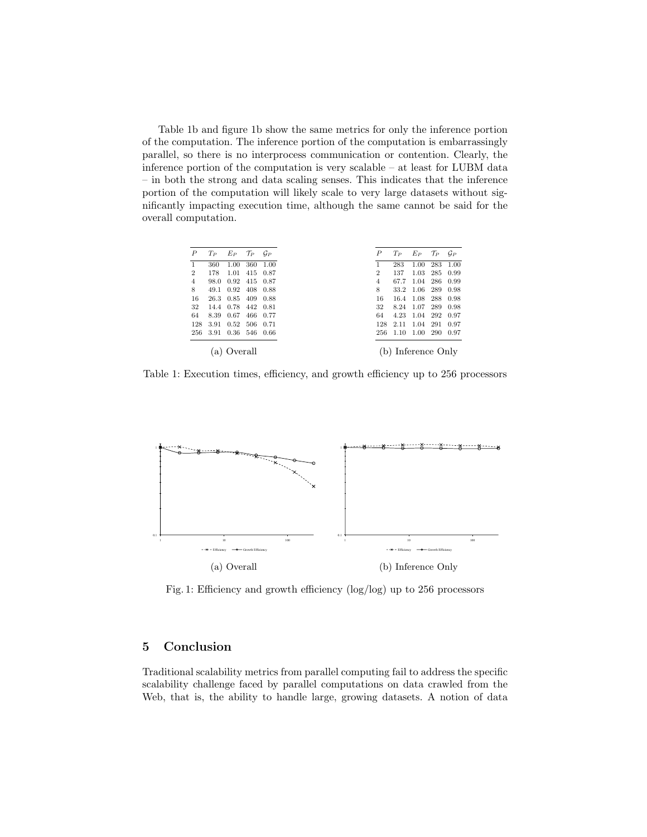Table 1b and figure 1b show the same metrics for only the inference portion of the computation. The inference portion of the computation is embarrassingly parallel, so there is no interprocess communication or contention. Clearly, the inference portion of the computation is very scalable – at least for LUBM data – in both the strong and data scaling senses. This indicates that the inference portion of the computation will likely scale to very large datasets without significantly impacting execution time, although the same cannot be said for the overall computation.

| P              | $T_P$ | $E_P$ | $T_P$ $G_P$ |      | P              | $T_P$                | $E_P$ | $\tau_{\scriptscriptstyle P}$ | $G_P$ |  |
|----------------|-------|-------|-------------|------|----------------|----------------------|-------|-------------------------------|-------|--|
| 1              | 360   | 1.00  | 360         | 1.00 |                | 283                  | 1.00  | 283                           | 1.00  |  |
| $\overline{2}$ | 178   | 1.01  | 415         | 0.87 | $\overline{2}$ | 137                  | 1.03  | 285                           | 0.99  |  |
| 4              | 98.0  | 0.92  | 415         | 0.87 | 4              | 67.7                 | 1.04  | 286                           | 0.99  |  |
| 8              | 49.1  | 0.92  | 408         | 0.88 | 8              | 33.2                 | 1.06  | 289                           | 0.98  |  |
| 16             | 26.3  | 0.85  | 409         | 0.88 | 16             | 16.4                 | 1.08  | 288                           | 0.98  |  |
| 32             | 14.4  | 0.78  | 442         | 0.81 | 32             | 8.24                 | 1.07  | 289                           | 0.98  |  |
| 64             | 8.39  | 0.67  | 466         | 0.77 | 64             | 4.23                 | 1.04  | 292                           | 0.97  |  |
| 128            | 3.91  | 0.52  | 506         | 0.71 | 128            | 2.11                 | 1.04  | 291                           | 0.97  |  |
| 256            | 3.91  | 0.36  | 546         | 0.66 | 256            | 1.10                 | 1.00  | 290                           | 0.97  |  |
|                |       |       |             |      |                |                      |       |                               |       |  |
| )verall<br>a)  |       |       |             |      |                | Inference Only<br>b) |       |                               |       |  |

Table 1: Execution times, efficiency, and growth efficiency up to 256 processors



Fig. 1: Efficiency and growth efficiency (log/log) up to 256 processors

## 5 Conclusion

Traditional scalability metrics from parallel computing fail to address the specific scalability challenge faced by parallel computations on data crawled from the Web, that is, the ability to handle large, growing datasets. A notion of data